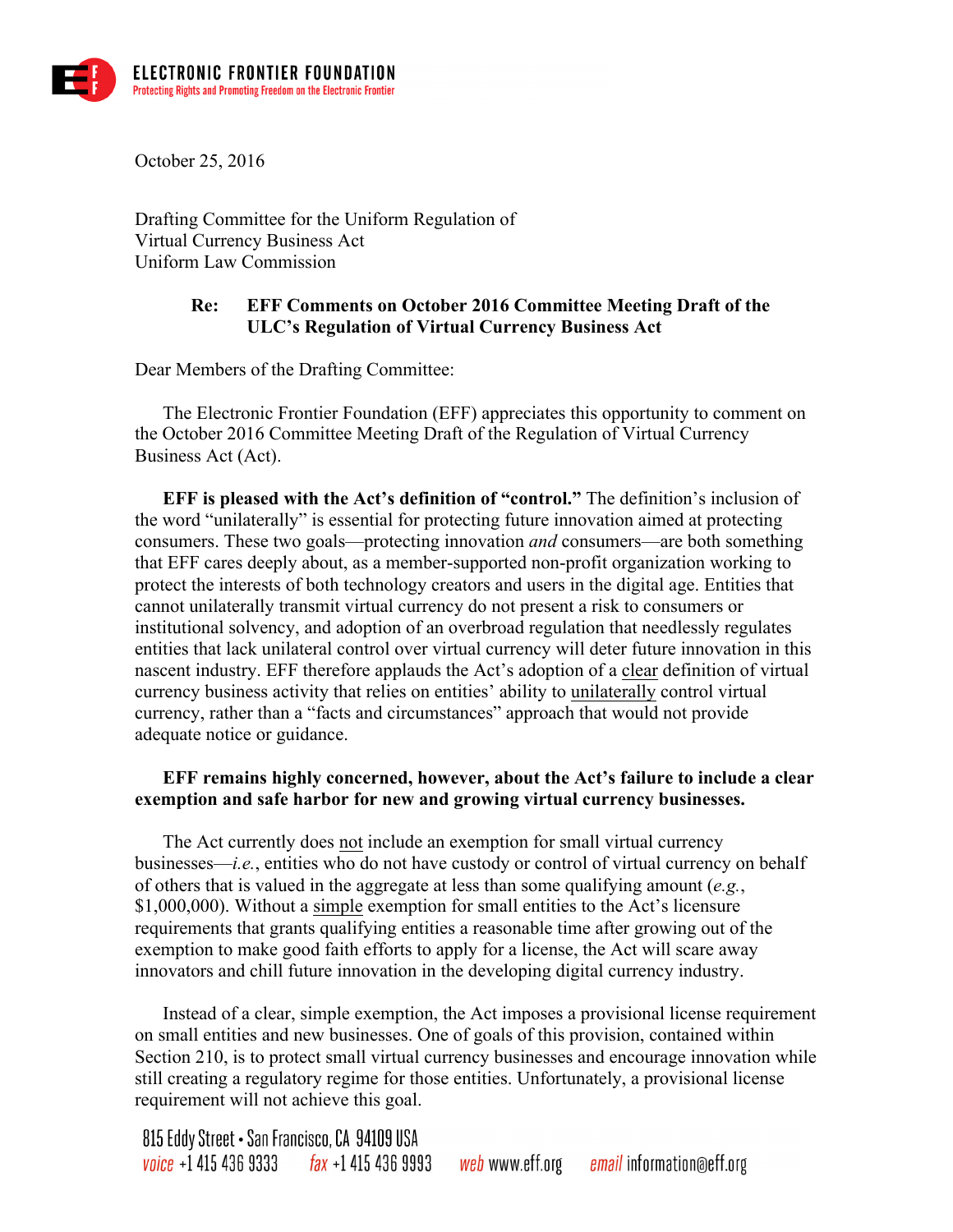

October 25, 2016

Drafting Committee for the Uniform Regulation of Virtual Currency Business Act Uniform Law Commission

## **Re: EFF Comments on October 2016 Committee Meeting Draft of the ULC's Regulation of Virtual Currency Business Act**

Dear Members of the Drafting Committee:

The Electronic Frontier Foundation (EFF) appreciates this opportunity to comment on the October 2016 Committee Meeting Draft of the Regulation of Virtual Currency Business Act (Act).

**EFF is pleased with the Act's definition of "control."** The definition's inclusion of the word "unilaterally" is essential for protecting future innovation aimed at protecting consumers. These two goals—protecting innovation *and* consumers—are both something that EFF cares deeply about, as a member-supported non-profit organization working to protect the interests of both technology creators and users in the digital age. Entities that cannot unilaterally transmit virtual currency do not present a risk to consumers or institutional solvency, and adoption of an overbroad regulation that needlessly regulates entities that lack unilateral control over virtual currency will deter future innovation in this nascent industry. EFF therefore applauds the Act's adoption of a clear definition of virtual currency business activity that relies on entities' ability to unilaterally control virtual currency, rather than a "facts and circumstances" approach that would not provide adequate notice or guidance.

## **EFF remains highly concerned, however, about the Act's failure to include a clear exemption and safe harbor for new and growing virtual currency businesses.**

The Act currently does not include an exemption for small virtual currency businesses—*i.e.*, entities who do not have custody or control of virtual currency on behalf of others that is valued in the aggregate at less than some qualifying amount (*e.g.*, \$1,000,000). Without a simple exemption for small entities to the Act's licensure requirements that grants qualifying entities a reasonable time after growing out of the exemption to make good faith efforts to apply for a license, the Act will scare away innovators and chill future innovation in the developing digital currency industry.

Instead of a clear, simple exemption, the Act imposes a provisional license requirement on small entities and new businesses. One of goals of this provision, contained within Section 210, is to protect small virtual currency businesses and encourage innovation while still creating a regulatory regime for those entities. Unfortunately, a provisional license requirement will not achieve this goal.

815 Eddy Street • San Francisco, CA 94109 USA voice  $+1$  415 436 9333 fax  $+1$  415 436 9993 *web* www.eff.org e*mail* information@eff.org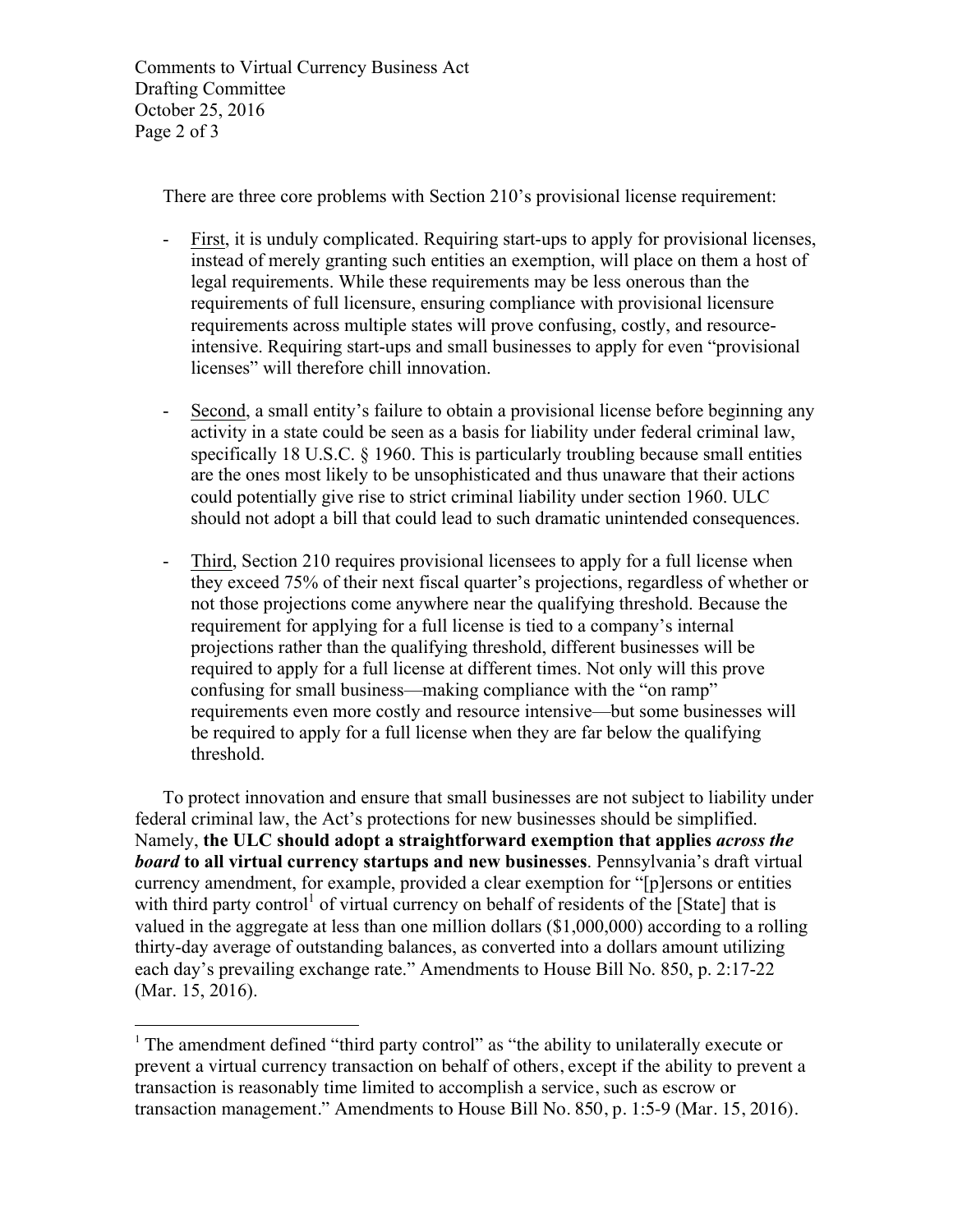Comments to Virtual Currency Business Act Drafting Committee October 25, 2016 Page 2 of 3

There are three core problems with Section 210's provisional license requirement:

- First, it is unduly complicated. Requiring start-ups to apply for provisional licenses, instead of merely granting such entities an exemption, will place on them a host of legal requirements. While these requirements may be less onerous than the requirements of full licensure, ensuring compliance with provisional licensure requirements across multiple states will prove confusing, costly, and resourceintensive. Requiring start-ups and small businesses to apply for even "provisional licenses" will therefore chill innovation.
- Second, a small entity's failure to obtain a provisional license before beginning any activity in a state could be seen as a basis for liability under federal criminal law, specifically 18 U.S.C. § 1960. This is particularly troubling because small entities are the ones most likely to be unsophisticated and thus unaware that their actions could potentially give rise to strict criminal liability under section 1960. ULC should not adopt a bill that could lead to such dramatic unintended consequences.
- Third, Section 210 requires provisional licensees to apply for a full license when they exceed 75% of their next fiscal quarter's projections, regardless of whether or not those projections come anywhere near the qualifying threshold. Because the requirement for applying for a full license is tied to a company's internal projections rather than the qualifying threshold, different businesses will be required to apply for a full license at different times. Not only will this prove confusing for small business—making compliance with the "on ramp" requirements even more costly and resource intensive—but some businesses will be required to apply for a full license when they are far below the qualifying threshold.

To protect innovation and ensure that small businesses are not subject to liability under federal criminal law, the Act's protections for new businesses should be simplified. Namely, **the ULC should adopt a straightforward exemption that applies** *across the board* **to all virtual currency startups and new businesses**. Pennsylvania's draft virtual currency amendment, for example, provided a clear exemption for "[p]ersons or entities with third party control<sup>1</sup> of virtual currency on behalf of residents of the [State] that is valued in the aggregate at less than one million dollars (\$1,000,000) according to a rolling thirty-day average of outstanding balances, as converted into a dollars amount utilizing each day's prevailing exchange rate." Amendments to House Bill No. 850, p. 2:17-22 (Mar. 15, 2016).

 $\overline{a}$ <sup>1</sup> The amendment defined "third party control" as "the ability to unilaterally execute or prevent a virtual currency transaction on behalf of others, except if the ability to prevent a transaction is reasonably time limited to accomplish a service, such as escrow or transaction management." Amendments to House Bill No. 850, p. 1:5-9 (Mar. 15, 2016).